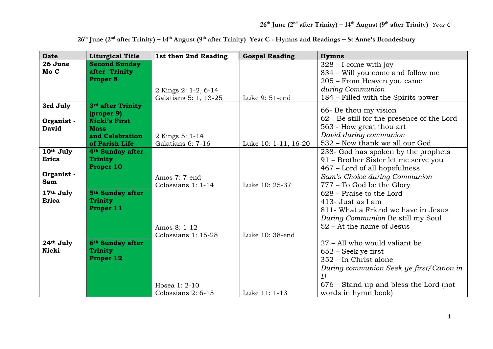| <b>Date</b>     | <b>Liturgical Title</b>          | 1st then 2nd Reading  | <b>Gospel Reading</b> | <b>Hymns</b>                                            |
|-----------------|----------------------------------|-----------------------|-----------------------|---------------------------------------------------------|
| 26 June<br>Mo C | <b>Second Sunday</b>             |                       |                       | $328 - I$ come with joy                                 |
|                 | after Trinity<br><b>Proper 8</b> |                       |                       | 834 - Will you come and follow me                       |
|                 |                                  |                       |                       | 205 - From Heaven you came                              |
|                 |                                  | 2 Kings 2: 1-2, 6-14  | Luke 9: 51-end        | during Communion<br>184 – Filled with the Spirits power |
| 3rd July        | 3rd after Trinity                | Galatians 5: 1, 13-25 |                       |                                                         |
|                 | (proper 9)                       |                       |                       | 66- Be thou my vision                                   |
| Organist -      | <b>Nicki's First</b>             |                       |                       | 62 - Be still for the presence of the Lord              |
| <b>David</b>    | <b>Mass</b>                      |                       |                       | 563 - How great thou art                                |
|                 | and Celebration                  | 2 Kings 5: 1-14       |                       | David during communion                                  |
|                 | of Parish Life                   | Galatians 6: 7-16     | Luke 10: 1-11, 16-20  | 532 – Now thank we all our God                          |
| 10th July       | 4 <sup>th</sup> Sunday after     |                       |                       | 238- God has spoken by the prophets                     |
| <b>Erica</b>    | <b>Trinity</b><br>Proper 10      |                       |                       | 91 – Brother Sister let me serve you                    |
| Organist -      |                                  |                       |                       | 467 - Lord of all hopefulness                           |
| <b>Sam</b>      |                                  | Amos 7: 7-end         |                       | Sam's Choice during Communion                           |
|                 |                                  | Colossians 1: 1-14    | Luke 10: 25-37        | 777 - To God be the Glory                               |
| 17th July       | 5 <sup>th</sup> Sunday after     |                       |                       | 628 – Praise to the Lord                                |
| <b>Erica</b>    | <b>Trinity</b><br>Proper 11      |                       |                       | 413- Just as I am                                       |
|                 |                                  |                       |                       | 811- What a Friend we have in Jesus                     |
|                 |                                  |                       |                       | During Communion Be still my Soul                       |
|                 |                                  | Amos 8: 1-12          |                       | $52 - At$ the name of Jesus                             |
|                 |                                  | Colossians 1: 15-28   | Luke 10: 38-end       |                                                         |
| 24th July       | 6 <sup>th</sup> Sunday after     |                       |                       | 27 - All who would valiant be                           |
| <b>Nicki</b>    | <b>Trinity</b>                   |                       |                       | $652$ – Seek ye first                                   |
|                 | Proper 12                        |                       |                       | 352 – In Christ alone                                   |
|                 |                                  |                       |                       | During communion Seek ye first/Canon in                 |
|                 |                                  |                       |                       | D                                                       |
|                 |                                  | Hosea 1: 2-10         |                       | 676 – Stand up and bless the Lord (not                  |
|                 |                                  | Colossians 2: 6-15    | Luke 11: 1-13         | words in hymn book)                                     |

**26th June (2nd after Trinity) – 14th August (9th after Trinity) Year C - Hymns and Readings – St Anne's Brondesbury**